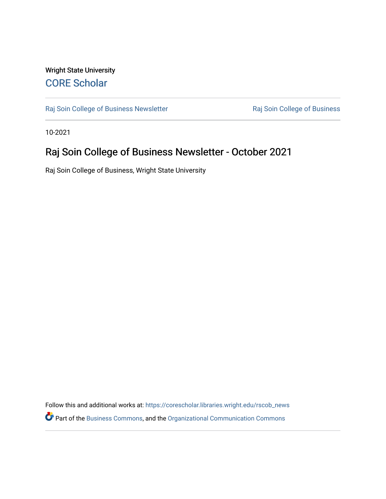### Wright State University [CORE Scholar](https://corescholar.libraries.wright.edu/)

[Raj Soin College of Business Newsletter](https://corescholar.libraries.wright.edu/rscob_news) **Raj Soin College of Business** 

10-2021

### Raj Soin College of Business Newsletter - October 2021

Raj Soin College of Business, Wright State University

Follow this and additional works at: [https://corescholar.libraries.wright.edu/rscob\\_news](https://corescholar.libraries.wright.edu/rscob_news?utm_source=corescholar.libraries.wright.edu%2Frscob_news%2F33&utm_medium=PDF&utm_campaign=PDFCoverPages)  Part of the [Business Commons](http://network.bepress.com/hgg/discipline/622?utm_source=corescholar.libraries.wright.edu%2Frscob_news%2F33&utm_medium=PDF&utm_campaign=PDFCoverPages), and the [Organizational Communication Commons](http://network.bepress.com/hgg/discipline/335?utm_source=corescholar.libraries.wright.edu%2Frscob_news%2F33&utm_medium=PDF&utm_campaign=PDFCoverPages)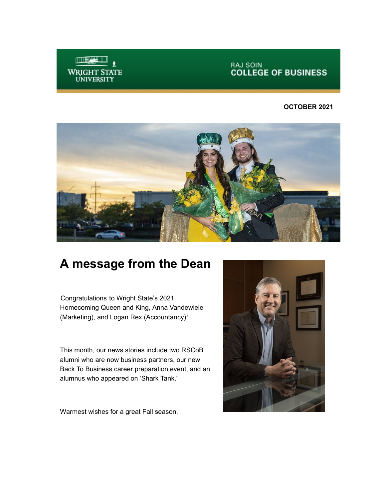

**RAJ SOIN<br>COLLEGE OF BUSINESS** 

#### **OCTOBER 2021**



## **A message from the Dean**

Congratulations to Wright State's 2021 Homecoming Queen and King, Anna Vandewiele (Marketing), and Logan Rex (Accountancy)!

This month, our news stories include two RSCoB alumni who are now business partners, our new Back To Business career preparation event, and an alumnus who appeared on 'Shark Tank.'

Warmest wishes for a great Fall season,

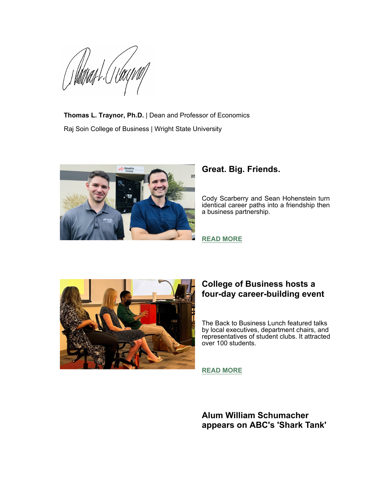William L

**Thomas L. Traynor, Ph.D.** | Dean and Professor of Economics Raj Soin College of Business | Wright State University



#### **Great. Big. Friends.**

Cody Scarberry and Sean Hohenstein turn identical career paths into a friendship then a business partnership.



#### **[READ MORE](https://perma.cc/TH5G-XGY8)**

#### **College of Business hosts a four-day career-building event**

The Back to Business Lunch featured talks by local executives, department chairs, and representatives of student clubs. It attracted over 100 students.

**[READ MORE](https://perma.cc/6G9M-VNSP)**

**Alum William Schumacher appears on ABC's 'Shark Tank'**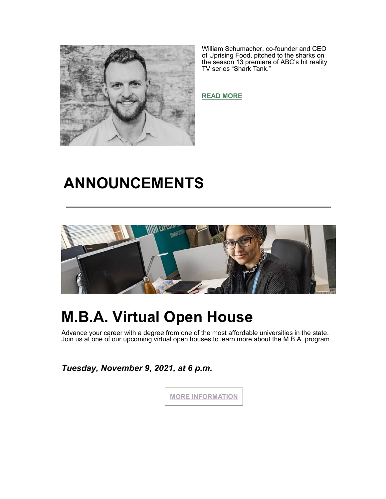

William Schumacher, co-founder and CEO of Uprising Food, pitched to the sharks on the season 13 premiere of ABC's hit reality TV series "Shark Tank."

**[READ MORE](https://perma.cc/3XAA-URP9)**

# **ANNOUNCEMENTS**



# **M.B.A. Virtual Open House**

Advance your career with a degree from one of the most affordable universities in the state. Join us at one of our upcoming virtual open houses to learn more about the M.B.A. program.

*Tuesday, November 9, 2021, at 6 p.m.*

**MORE INFORMATION**